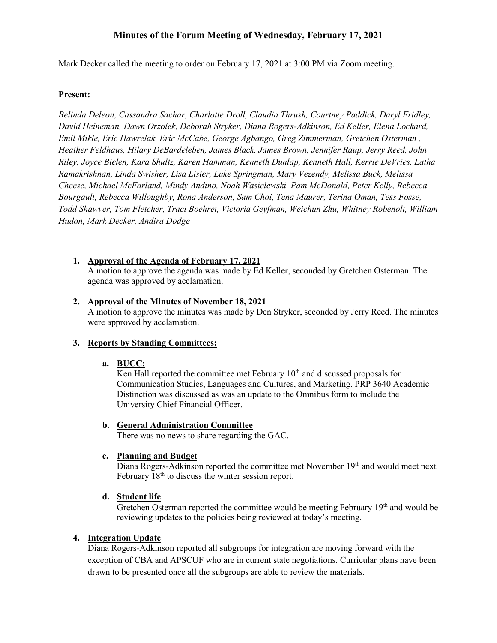# **Minutes of the Forum Meeting of Wednesday, February 17, 2021**

Mark Decker called the meeting to order on February 17, 2021 at 3:00 PM via Zoom meeting.

## **Present:**

*Belinda Deleon, Cassandra Sachar, Charlotte Droll, Claudia Thrush, Courtney Paddick, Daryl Fridley, David Heineman, Dawn Orzolek, Deborah Stryker, Diana Rogers-Adkinson, Ed Keller, Elena Lockard, Emil Mikle, Eric Hawrelak. Eric McCabe, George Agbango, Greg Zimmerman, Gretchen Osterman , Heather Feldhaus, Hilary DeBardeleben, James Black, James Brown, Jennifer Raup, Jerry Reed, John Riley, Joyce Bielen, Kara Shultz, Karen Hamman, Kenneth Dunlap, Kenneth Hall, Kerrie DeVries, Latha Ramakrishnan, Linda Swisher, Lisa Lister, Luke Springman, Mary Vezendy, Melissa Buck, Melissa Cheese, Michael McFarland, Mindy Andino, Noah Wasielewski, Pam McDonald, Peter Kelly, Rebecca Bourgault, Rebecca Willoughby, Rona Anderson, Sam Choi, Tena Maurer, Terina Oman, Tess Fosse, Todd Shawver, Tom Fletcher, Traci Boehret, Victoria Geyfman, Weichun Zhu, Whitney Robenolt, William Hudon, Mark Decker, Andira Dodge*

## **1. Approval of the Agenda of February 17, 2021**

A motion to approve the agenda was made by Ed Keller, seconded by Gretchen Osterman. The agenda was approved by acclamation.

## **2. Approval of the Minutes of November 18, 2021**

A motion to approve the minutes was made by Den Stryker, seconded by Jerry Reed. The minutes were approved by acclamation.

## **3. Reports by Standing Committees:**

## **a. BUCC:**

Ken Hall reported the committee met February  $10<sup>th</sup>$  and discussed proposals for Communication Studies, Languages and Cultures, and Marketing. PRP 3640 Academic Distinction was discussed as was an update to the Omnibus form to include the University Chief Financial Officer.

## **b. General Administration Committee**

There was no news to share regarding the GAC.

## **c. Planning and Budget**

Diana Rogers-Adkinson reported the committee met November 19<sup>th</sup> and would meet next February 18<sup>th</sup> to discuss the winter session report.

## **d. Student life**

Gretchen Osterman reported the committee would be meeting February  $19<sup>th</sup>$  and would be reviewing updates to the policies being reviewed at today's meeting.

## **4. Integration Update**

Diana Rogers-Adkinson reported all subgroups for integration are moving forward with the exception of CBA and APSCUF who are in current state negotiations. Curricular plans have been drawn to be presented once all the subgroups are able to review the materials.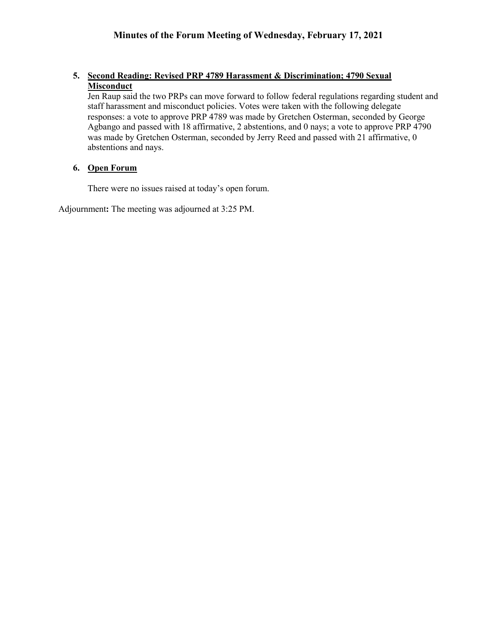# **5. Second Reading: Revised PRP 4789 Harassment & Discrimination; 4790 Sexual Misconduct**

Jen Raup said the two PRPs can move forward to follow federal regulations regarding student and staff harassment and misconduct policies. Votes were taken with the following delegate responses: a vote to approve PRP 4789 was made by Gretchen Osterman, seconded by George Agbango and passed with 18 affirmative, 2 abstentions, and 0 nays; a vote to approve PRP 4790 was made by Gretchen Osterman, seconded by Jerry Reed and passed with 21 affirmative, 0 abstentions and nays.

# **6. Open Forum**

There were no issues raised at today's open forum.

Adjournment**:** The meeting was adjourned at 3:25 PM.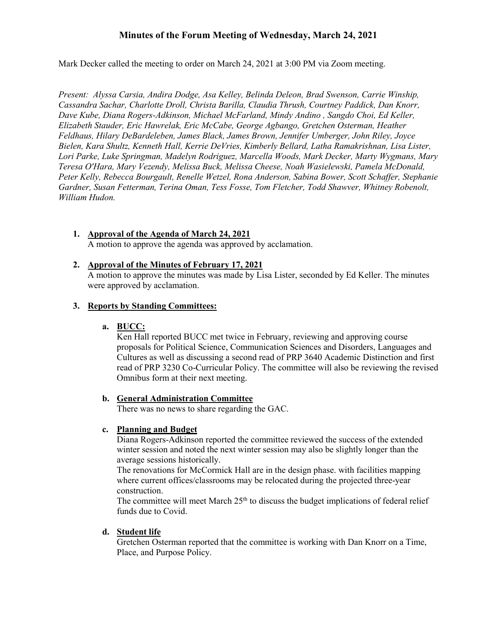# **Minutes of the Forum Meeting of Wednesday, March 24, 2021**

Mark Decker called the meeting to order on March 24, 2021 at 3:00 PM via Zoom meeting.

*Present: Alyssa Carsia, Andira Dodge, Asa Kelley, Belinda Deleon, Brad Swenson, Carrie Winship, Cassandra Sachar, Charlotte Droll, Christa Barilla, Claudia Thrush, Courtney Paddick, Dan Knorr, Dave Kube, Diana Rogers-Adkinson, Michael McFarland, Mindy Andino , Sangdo Choi, Ed Keller, Elizabeth Stauder, Eric Hawrelak, Eric McCabe, George Agbango, Gretchen Osterman, Heather Feldhaus, Hilary DeBardeleben, James Black, James Brown, Jennifer Umberger, John Riley, Joyce Bielen, Kara Shultz, Kenneth Hall, Kerrie DeVries, Kimberly Bellard, Latha Ramakrishnan, Lisa Lister, Lori Parke, Luke Springman, Madelyn Rodriguez, Marcella Woods, Mark Decker, Marty Wygmans, Mary Teresa O'Hara, Mary Vezendy, Melissa Buck, Melissa Cheese, Noah Wasielewski, Pamela McDonald, Peter Kelly, Rebecca Bourgault, Renelle Wetzel, Rona Anderson, Sabina Bower, Scott Schaffer, Stephanie Gardner, Susan Fetterman, Terina Oman, Tess Fosse, Tom Fletcher, Todd Shawver, Whitney Robenolt, William Hudon.*

#### **1. Approval of the Agenda of March 24, 2021** A motion to approve the agenda was approved by acclamation.

# **2. Approval of the Minutes of February 17, 2021**

A motion to approve the minutes was made by Lisa Lister, seconded by Ed Keller. The minutes were approved by acclamation.

## **3. Reports by Standing Committees:**

## **a. BUCC:**

Ken Hall reported BUCC met twice in February, reviewing and approving course proposals for Political Science, Communication Sciences and Disorders, Languages and Cultures as well as discussing a second read of PRP 3640 Academic Distinction and first read of PRP 3230 Co-Curricular Policy. The committee will also be reviewing the revised Omnibus form at their next meeting.

## **b. General Administration Committee**

There was no news to share regarding the GAC.

## **c. Planning and Budget**

Diana Rogers-Adkinson reported the committee reviewed the success of the extended winter session and noted the next winter session may also be slightly longer than the average sessions historically.

The renovations for McCormick Hall are in the design phase. with facilities mapping where current offices/classrooms may be relocated during the projected three-year construction.

The committee will meet March  $25<sup>th</sup>$  to discuss the budget implications of federal relief funds due to Covid.

## **d. Student life**

Gretchen Osterman reported that the committee is working with Dan Knorr on a Time, Place, and Purpose Policy.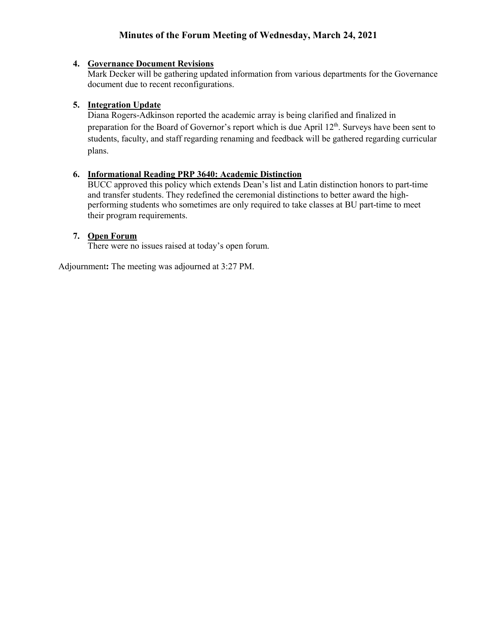# **Minutes of the Forum Meeting of Wednesday, March 24, 2021**

# **4. Governance Document Revisions**

Mark Decker will be gathering updated information from various departments for the Governance document due to recent reconfigurations.

## **5. Integration Update**

Diana Rogers-Adkinson reported the academic array is being clarified and finalized in preparation for the Board of Governor's report which is due April 12<sup>th</sup>. Surveys have been sent to students, faculty, and staff regarding renaming and feedback will be gathered regarding curricular plans.

# **6. Informational Reading PRP 3640: Academic Distinction**

BUCC approved this policy which extends Dean's list and Latin distinction honors to part-time and transfer students. They redefined the ceremonial distinctions to better award the highperforming students who sometimes are only required to take classes at BU part-time to meet their program requirements.

## **7. Open Forum**

There were no issues raised at today's open forum.

Adjournment**:** The meeting was adjourned at 3:27 PM.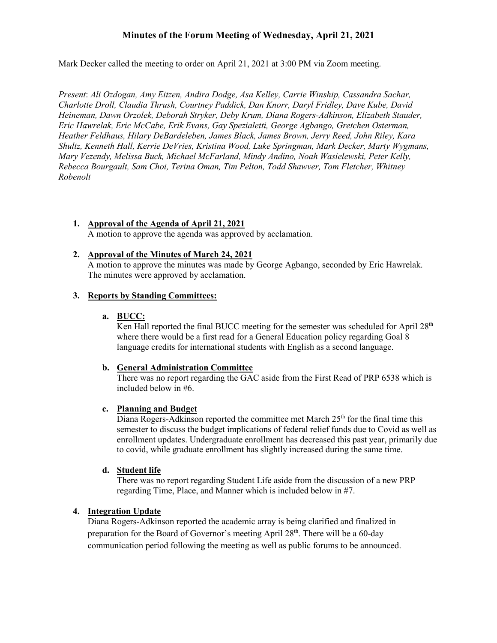# **Minutes of the Forum Meeting of Wednesday, April 21, 2021**

Mark Decker called the meeting to order on April 21, 2021 at 3:00 PM via Zoom meeting.

*Present*: *Ali Ozdogan, Amy Eitzen, Andira Dodge, Asa Kelley, Carrie Winship, Cassandra Sachar, Charlotte Droll, Claudia Thrush, Courtney Paddick, Dan Knorr, Daryl Fridley, Dave Kube, David Heineman, Dawn Orzolek, Deborah Stryker, Deby Krum, Diana Rogers-Adkinson, Elizabeth Stauder, Eric Hawrelak, Eric McCabe, Erik Evans, Gay Spezialetti, George Agbango, Gretchen Osterman, Heather Feldhaus, Hilary DeBardeleben, James Black, James Brown, Jerry Reed, John Riley, Kara Shultz, Kenneth Hall, Kerrie DeVries, Kristina Wood, Luke Springman, Mark Decker, Marty Wygmans, Mary Vezendy, Melissa Buck, Michael McFarland, Mindy Andino, Noah Wasielewski, Peter Kelly, Rebecca Bourgault, Sam Choi, Terina Oman, Tim Pelton, Todd Shawver, Tom Fletcher, Whitney Robenolt*

#### **1. Approval of the Agenda of April 21, 2021** A motion to approve the agenda was approved by acclamation.

## **2. Approval of the Minutes of March 24, 2021**

A motion to approve the minutes was made by George Agbango, seconded by Eric Hawrelak. The minutes were approved by acclamation.

# **3. Reports by Standing Committees:**

#### **a. BUCC:**

Ken Hall reported the final BUCC meeting for the semester was scheduled for April  $28<sup>th</sup>$ where there would be a first read for a General Education policy regarding Goal 8 language credits for international students with English as a second language.

#### **b. General Administration Committee**

There was no report regarding the GAC aside from the First Read of PRP 6538 which is included below in #6.

## **c. Planning and Budget**

Diana Rogers-Adkinson reported the committee met March  $25<sup>th</sup>$  for the final time this semester to discuss the budget implications of federal relief funds due to Covid as well as enrollment updates. Undergraduate enrollment has decreased this past year, primarily due to covid, while graduate enrollment has slightly increased during the same time.

#### **d. Student life**

There was no report regarding Student Life aside from the discussion of a new PRP regarding Time, Place, and Manner which is included below in #7.

## **4. Integration Update**

Diana Rogers-Adkinson reported the academic array is being clarified and finalized in preparation for the Board of Governor's meeting April 28<sup>th</sup>. There will be a 60-day communication period following the meeting as well as public forums to be announced.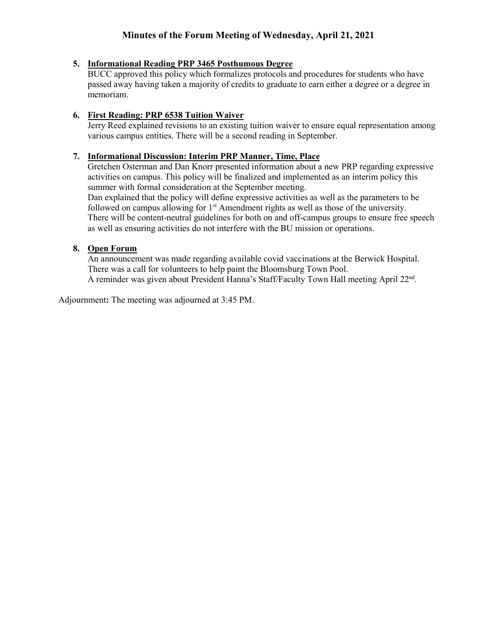# **5. Informational Reading PRP 3465 Posthumous Degree**

BUCC approved this policy which formalizes protocols and procedures for students who have passed away having taken a majority of credits to graduate to earn either a degree or a degree in memoriam.

# **6. First Reading: PRP 6538 Tuition Waiver**

Jerry Reed explained revisions to an existing tuition waiver to ensure equal representation among various campus entities. There will be a second reading in September.

# **7. Informational Discussion: Interim PRP Manner, Time, Place**

Gretchen Osterman and Dan Knorr presented information about a new PRP regarding expressive activities on campus. This policy will be finalized and implemented as an interim policy this summer with formal consideration at the September meeting.

Dan explained that the policy will define expressive activities as well as the parameters to be followed on campus allowing for 1<sup>st</sup> Amendment rights as well as those of the university. There will be content-neutral guidelines for both on and off-campus groups to ensure free speech as well as ensuring activities do not interfere with the BU mission or operations.

# **8. Open Forum**

An announcement was made regarding available covid vaccinations at the Berwick Hospital. There was a call for volunteers to help paint the Bloomsburg Town Pool. A reminder was given about President Hanna's Staff/Faculty Town Hall meeting April 22<sup>nd</sup>.

Adjournment**:** The meeting was adjourned at 3:45 PM.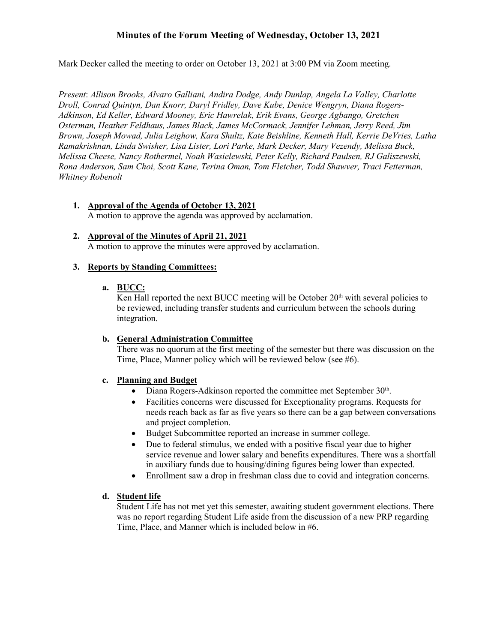# **Minutes of the Forum Meeting of Wednesday, October 13, 2021**

Mark Decker called the meeting to order on October 13, 2021 at 3:00 PM via Zoom meeting.

*Present*: *Allison Brooks, Alvaro Galliani, Andira Dodge, Andy Dunlap, Angela La Valley, Charlotte Droll, Conrad Quintyn, Dan Knorr, Daryl Fridley, Dave Kube, Denice Wengryn, Diana Rogers-Adkinson, Ed Keller, Edward Mooney, Eric Hawrelak, Erik Evans, George Agbango, Gretchen Osterman, Heather Feldhaus, James Black, James McCormack, Jennifer Lehman, Jerry Reed, Jim Brown, Joseph Mowad, Julia Leighow, Kara Shultz, Kate Beishline, Kenneth Hall, Kerrie DeVries, Latha Ramakrishnan, Linda Swisher, Lisa Lister, Lori Parke, Mark Decker, Mary Vezendy, Melissa Buck, Melissa Cheese, Nancy Rothermel, Noah Wasielewski, Peter Kelly, Richard Paulsen, RJ Galiszewski, Rona Anderson, Sam Choi, Scott Kane, Terina Oman, Tom Fletcher, Todd Shawver, Traci Fetterman, Whitney Robenolt*

**1. Approval of the Agenda of October 13, 2021**

A motion to approve the agenda was approved by acclamation.

**2. Approval of the Minutes of April 21, 2021**

A motion to approve the minutes were approved by acclamation.

## **3. Reports by Standing Committees:**

## **a. BUCC:**

Ken Hall reported the next BUCC meeting will be October  $20<sup>th</sup>$  with several policies to be reviewed, including transfer students and curriculum between the schools during integration.

## **b. General Administration Committee**

There was no quorum at the first meeting of the semester but there was discussion on the Time, Place, Manner policy which will be reviewed below (see #6).

## **c. Planning and Budget**

- Diana Rogers-Adkinson reported the committee met September  $30<sup>th</sup>$ .
- Facilities concerns were discussed for Exceptionality programs. Requests for needs reach back as far as five years so there can be a gap between conversations and project completion.
- Budget Subcommittee reported an increase in summer college.
- Due to federal stimulus, we ended with a positive fiscal year due to higher service revenue and lower salary and benefits expenditures. There was a shortfall in auxiliary funds due to housing/dining figures being lower than expected.
- Enrollment saw a drop in freshman class due to covid and integration concerns.

## **d. Student life**

Student Life has not met yet this semester, awaiting student government elections. There was no report regarding Student Life aside from the discussion of a new PRP regarding Time, Place, and Manner which is included below in #6.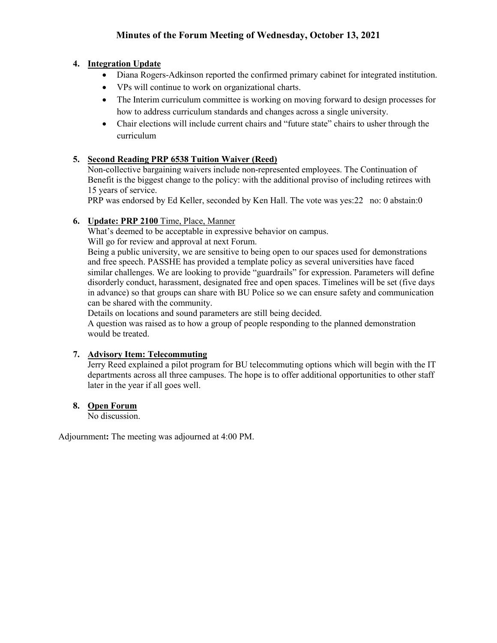# **4. Integration Update**

- Diana Rogers-Adkinson reported the confirmed primary cabinet for integrated institution.
- VPs will continue to work on organizational charts.
- The Interim curriculum committee is working on moving forward to design processes for how to address curriculum standards and changes across a single university.
- Chair elections will include current chairs and "future state" chairs to usher through the curriculum

# **5. Second Reading PRP 6538 Tuition Waiver (Reed)**

Non-collective bargaining waivers include non-represented employees. The Continuation of Benefit is the biggest change to the policy: with the additional proviso of including retirees with 15 years of service.

PRP was endorsed by Ed Keller, seconded by Ken Hall. The vote was yes:22 no: 0 abstain:0

# **6. Update: PRP 2100** Time, Place, Manner

What's deemed to be acceptable in expressive behavior on campus.

Will go for review and approval at next Forum.

Being a public university, we are sensitive to being open to our spaces used for demonstrations and free speech. PASSHE has provided a template policy as several universities have faced similar challenges. We are looking to provide "guardrails" for expression. Parameters will define disorderly conduct, harassment, designated free and open spaces. Timelines will be set (five days in advance) so that groups can share with BU Police so we can ensure safety and communication can be shared with the community.

Details on locations and sound parameters are still being decided.

A question was raised as to how a group of people responding to the planned demonstration would be treated.

# **7. Advisory Item: Telecommuting**

Jerry Reed explained a pilot program for BU telecommuting options which will begin with the IT departments across all three campuses. The hope is to offer additional opportunities to other staff later in the year if all goes well.

# **8. Open Forum**

No discussion.

Adjournment**:** The meeting was adjourned at 4:00 PM.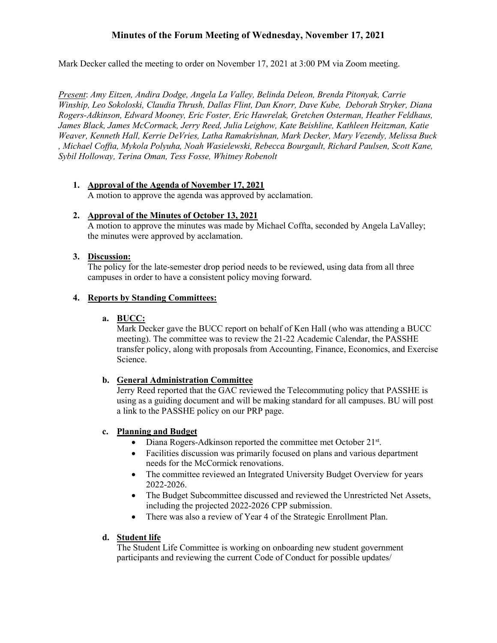# **Minutes of the Forum Meeting of Wednesday, November 17, 2021**

Mark Decker called the meeting to order on November 17, 2021 at 3:00 PM via Zoom meeting.

*Present*: *Amy Eitzen, Andira Dodge, Angela La Valley, Belinda Deleon, Brenda Pitonyak, Carrie Winship, Leo Sokoloski, Claudia Thrush, Dallas Flint, Dan Knorr, Dave Kube, Deborah Stryker, Diana Rogers-Adkinson, Edward Mooney, Eric Foster, Eric Hawrelak, Gretchen Osterman, Heather Feldhaus, James Black, James McCormack, Jerry Reed, Julia Leighow, Kate Beishline, Kathleen Heitzman, Katie Weaver, Kenneth Hall, Kerrie DeVries, Latha Ramakrishnan, Mark Decker, Mary Vezendy, Melissa Buck , Michael Coffta, Mykola Polyuha, Noah Wasielewski, Rebecca Bourgault, Richard Paulsen, Scott Kane, Sybil Holloway, Terina Oman, Tess Fosse, Whitney Robenolt*

# **1. Approval of the Agenda of November 17, 2021**

A motion to approve the agenda was approved by acclamation.

# **2. Approval of the Minutes of October 13, 2021**

A motion to approve the minutes was made by Michael Coffta, seconded by Angela LaValley; the minutes were approved by acclamation.

# **3. Discussion:**

The policy for the late-semester drop period needs to be reviewed, using data from all three campuses in order to have a consistent policy moving forward.

# **4. Reports by Standing Committees:**

## **a. BUCC:**

Mark Decker gave the BUCC report on behalf of Ken Hall (who was attending a BUCC meeting). The committee was to review the 21-22 Academic Calendar, the PASSHE transfer policy, along with proposals from Accounting, Finance, Economics, and Exercise Science.

# **b. General Administration Committee**

Jerry Reed reported that the GAC reviewed the Telecommuting policy that PASSHE is using as a guiding document and will be making standard for all campuses. BU will post a link to the PASSHE policy on our PRP page.

# **c. Planning and Budget**

- Diana Rogers-Adkinson reported the committee met October 21<sup>st</sup>.
- Facilities discussion was primarily focused on plans and various department needs for the McCormick renovations.
- The committee reviewed an Integrated University Budget Overview for years 2022-2026.
- The Budget Subcommittee discussed and reviewed the Unrestricted Net Assets, including the projected 2022-2026 CPP submission.
- There was also a review of Year 4 of the Strategic Enrollment Plan.

# **d. Student life**

The Student Life Committee is working on onboarding new student government participants and reviewing the current Code of Conduct for possible updates/